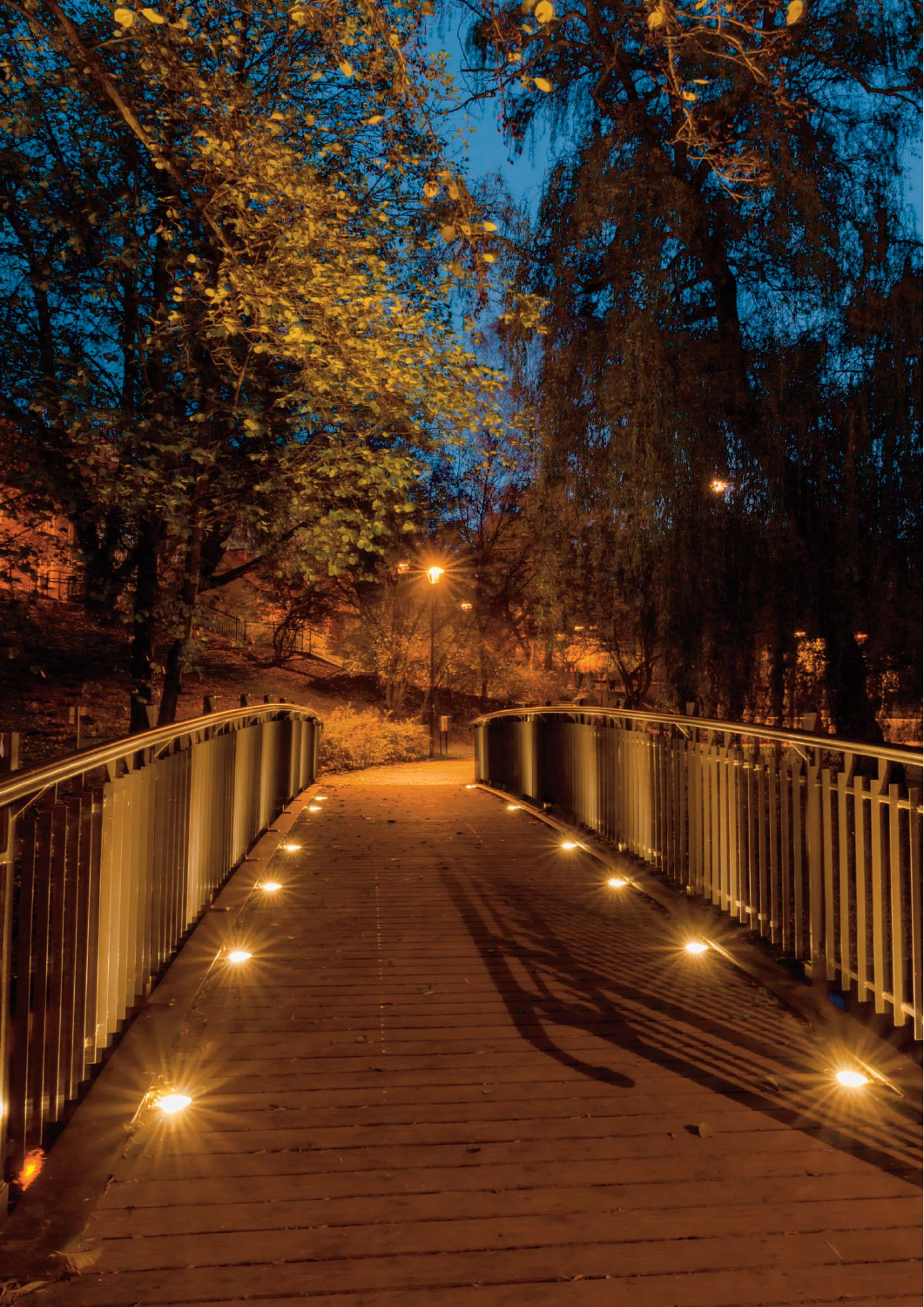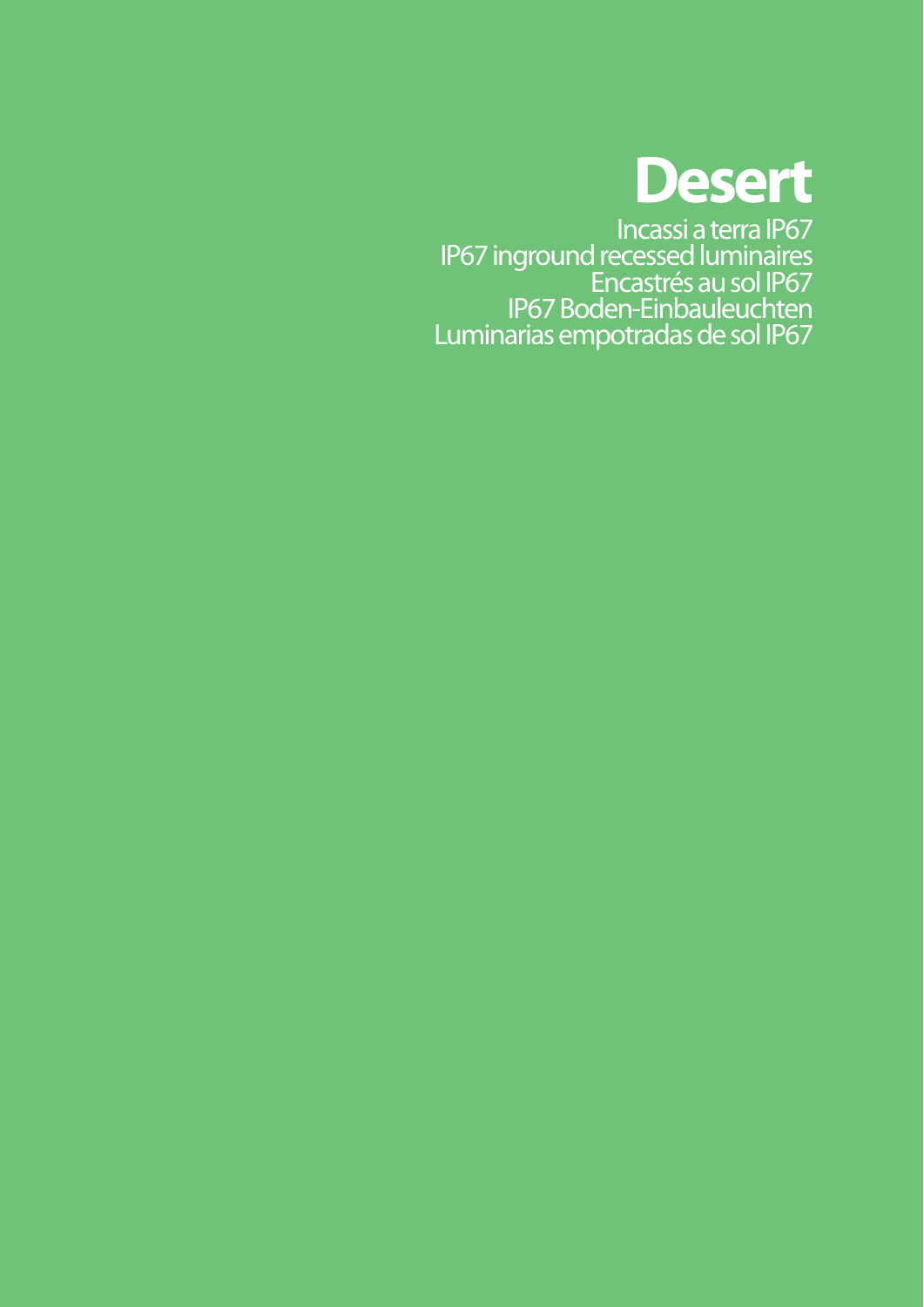# **Desert**

Incassi a terra IP67 IP67 inground recessed luminaires Encastrés au sol IP67 IP67 Boden-Einbauleuchten Luminarias empotradas de sol IP67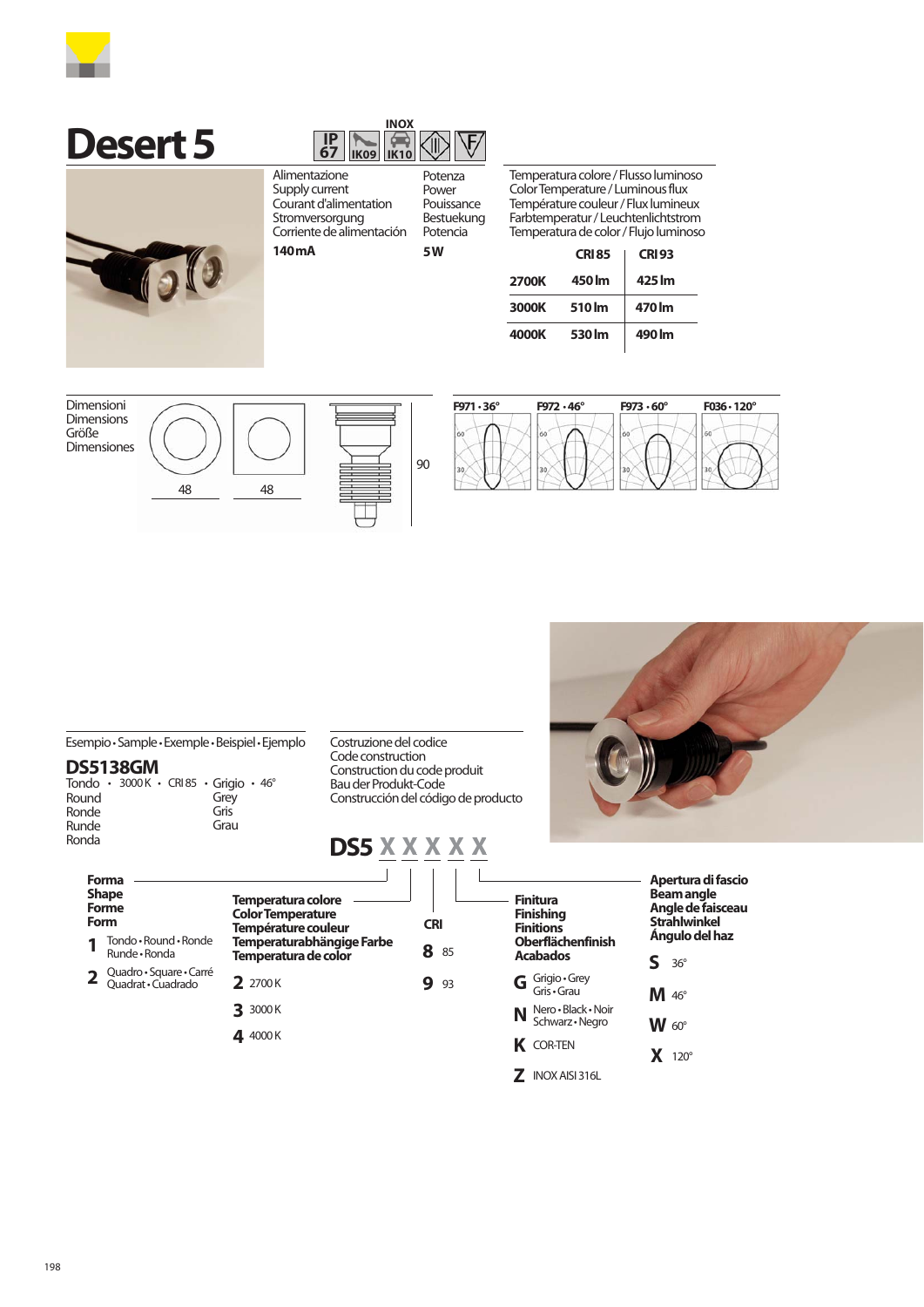

## **Desert 5**



Alimentazione Supply current Courant d'alimentation **Stromversorgung** Corriente de alimentación **140mA**

Potenza Power Pouissance Bestuekung Potencia **5 W**

90

Temperatura colore / Flusso luminoso Color Temperature / Luminous flux Température couleur / Flux lumineux Farbtemperatur / Leuchtenlichtstrom Temperatura de color / Flujo luminoso

|              | <b>CRI 85</b> | <b>CRI 93</b> |  |
|--------------|---------------|---------------|--|
| <b>2700K</b> | 450 lm        | 425 lm        |  |
| 3000K        | 510 lm        | 470 lm        |  |
| 4000K        | 530 lm        | 490 lm        |  |





| Esempio · Sample · Exemple · Beispiel · Ejemplo<br><b>DS5138GM</b><br>Tondo · 3000 K · CRI 85 · Grigio · 46°<br>Round<br>Ronde<br>Runde | Costruzione del codice<br>Code construction<br>Bau der Produkt-Code<br>Grey<br>Gris<br>Grau                                              | Construction du code produit<br>Construcción del código de producto |                                                                                                        |                                                                                                       |
|-----------------------------------------------------------------------------------------------------------------------------------------|------------------------------------------------------------------------------------------------------------------------------------------|---------------------------------------------------------------------|--------------------------------------------------------------------------------------------------------|-------------------------------------------------------------------------------------------------------|
| Ronda                                                                                                                                   |                                                                                                                                          | <b>DS5 X X X X X</b>                                                |                                                                                                        |                                                                                                       |
| Forma<br><b>Shape</b><br><b>Forme</b><br><b>Form</b><br>Tondo · Round · Ronde<br>Runde · Ronda                                          | <b>Temperatura colore</b><br><b>Color Temperature</b><br><b>Température couleur</b><br>Temperaturabhängige Farbe<br>Temperatura de color | <b>CRI</b><br>8<br>85                                               | <b>Finitura</b><br><b>Finishing</b><br><b>Finitions</b><br><b>Oberflächenfinish</b><br><b>Acabados</b> | Apertura di fascio<br><b>Beam angle</b><br>Angle de faisceau<br><b>Strahlwinkel</b><br>Ángulo del haz |
| Quadro · Square · Carré<br>Quadrat · Cuadrado                                                                                           | 2 2700 K                                                                                                                                 | 9<br>93                                                             | Grigio • Grey<br>Gris • Grau<br>G                                                                      | S<br>$36^{\circ}$<br>M 46°                                                                            |
|                                                                                                                                         | 3 3000 K                                                                                                                                 |                                                                     | Nero · Black · Noir<br>N<br>Schwarz · Negro                                                            | <b>W</b> 60°                                                                                          |
|                                                                                                                                         | 44 4000 K                                                                                                                                |                                                                     | <b>K</b> COR-TEN<br><b>INOX AISI 316L</b><br>7                                                         | X<br>$120^\circ$                                                                                      |